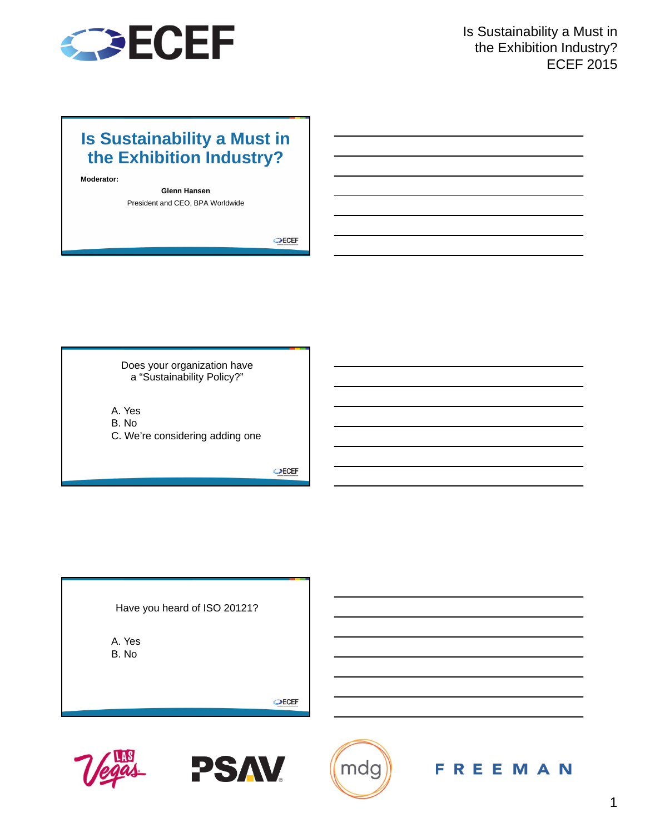

## **Is Sustainability a Must in the Exhibition Industry?**

**Moderator:**

**Glenn Hansen** President and CEO, BPA Worldwide

 $Q$ ECEF

Does your organization have a "Sustainability Policy?"

A. Yes B. No C. We're considering adding one

 $\bigcirc$ ECEF

Have you heard of ISO 20121?

A. Yes B. No

 $\bigcirc$ ECEF





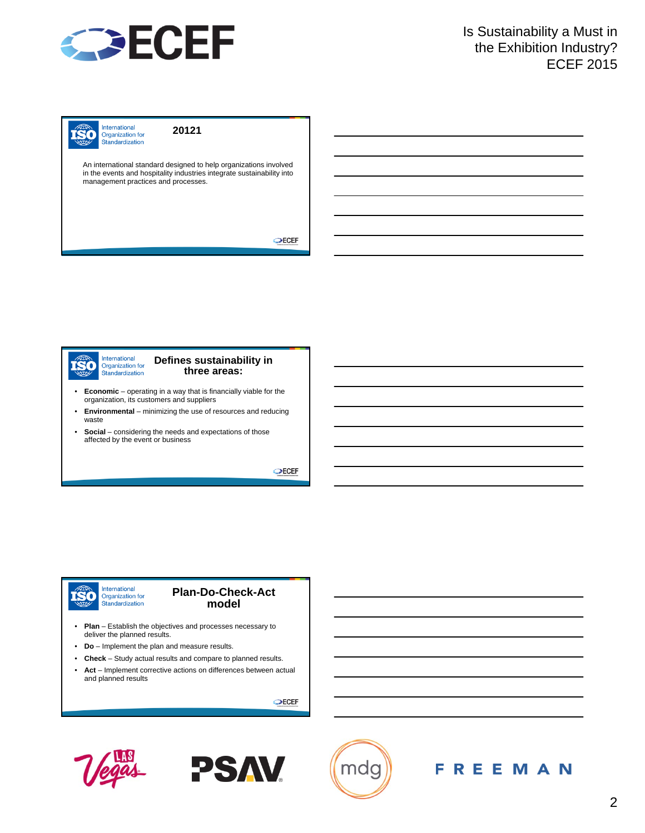

International **ISO** Organization for Standardization

**20121**

An international standard designed to help organizations involved in the events and hospitality industries integrate sustainability into management practices and processes.

**OECEF** 

International **ISO** Organization for Standardization

#### **Defines sustainability in three areas:**

- **Economic** operating in a way that is financially viable for the organization, its customers and suppliers
- **Environmental** minimizing the use of resources and reducing waste
- **Social** considering the needs and expectations of those affected by the event or business

**OECEF** 

#### International ISO Organization for<br>Standardization

#### **Plan-Do-Check-Act model**

- **Plan** Establish the objectives and processes necessary to deliver the planned results.
- **Do** Implement the plan and measure results.
- **Check** Study actual results and compare to planned results.
- **Act** Implement corrective actions on differences between actual and planned results

 $\bigcirc$ ECEF





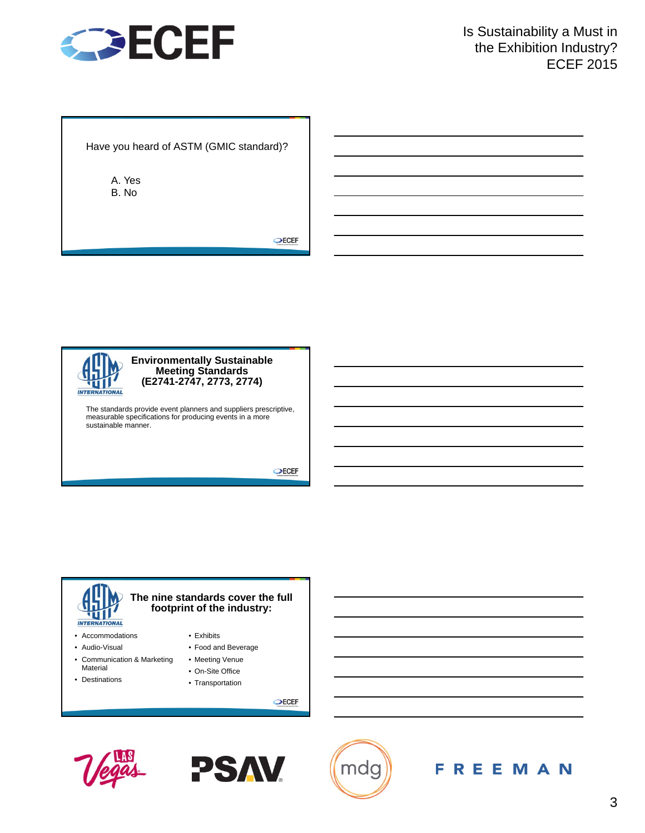

Have you heard of ASTM (GMIC standard)?

A. Yes B. No

OECEF



#### **Environmentally Sustainable Meeting Standards (E2741-2747, 2773, 2774)**

The standards provide event planners and suppliers prescriptive, measurable specifications for producing events in a more sustainable manner.

 $\bigcirc$ ECEF

# **INTERNATIONAL**

- Accommodations
- Audio-Visual
- Communication & Marketing Material
- Destinations
- **footprint of the industry:**

**The nine standards cover the full** 

- Exhibits
- Food and Beverage
- Meeting Venue
- On-Site Office
- Transportation

 $\bigcirc$ ECEF





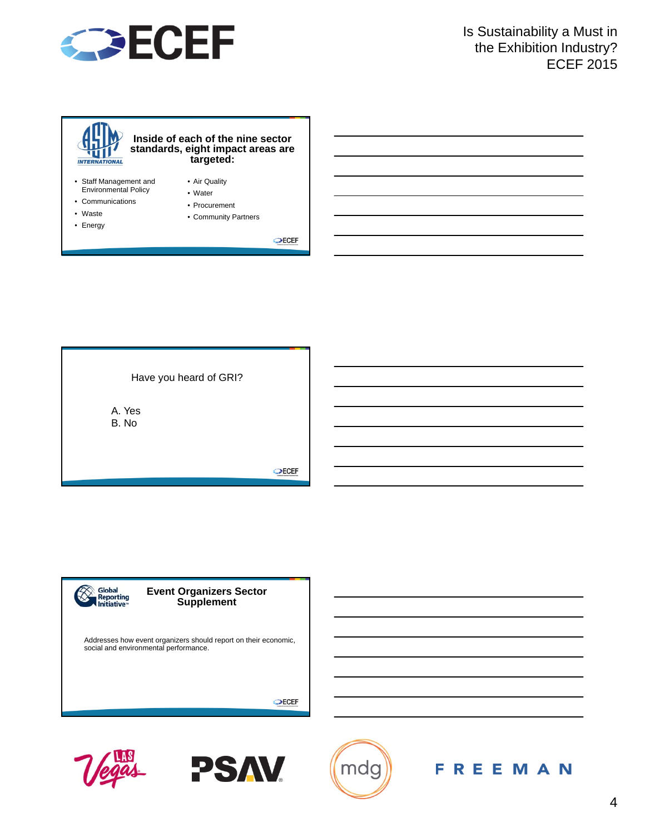



- Water
- Communications
- Waste
- Energy

• Procurement

• Community Partners

OECEF

Have you heard of GRI? A. Yes B. No  $\bigcirc$ ECEF





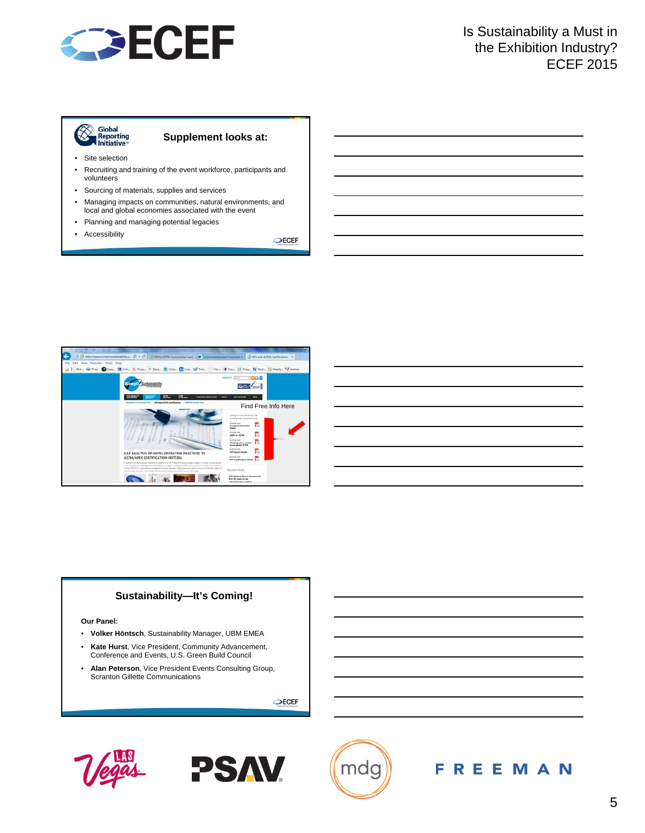

### Siobal<br>Reporting<br>A Initiative  $\otimes$

### **Supplement looks at:**

- Site selection
- Recruiting and training of the event workforce, participants and volunteers
- Sourcing of materials, supplies and services
- Managing impacts on communities, natural environments, and local and global economies associated with the event
- Planning and managing potential legacies
- Accessibility

**OECEF** 



#### **Sustainability—It's Coming!**

#### **Our Panel:**

- **Volker Höntsch**, Sustainability Manager, UBM EMEA
- **Kate Hurst**, Vice President, Community Advancement, Conference and Events, U.S. Green Build Council
- **Alan Peterson**, Vice President Events Consulting Group, Scranton Gillette Communications

 $\bigcirc$ ECEF





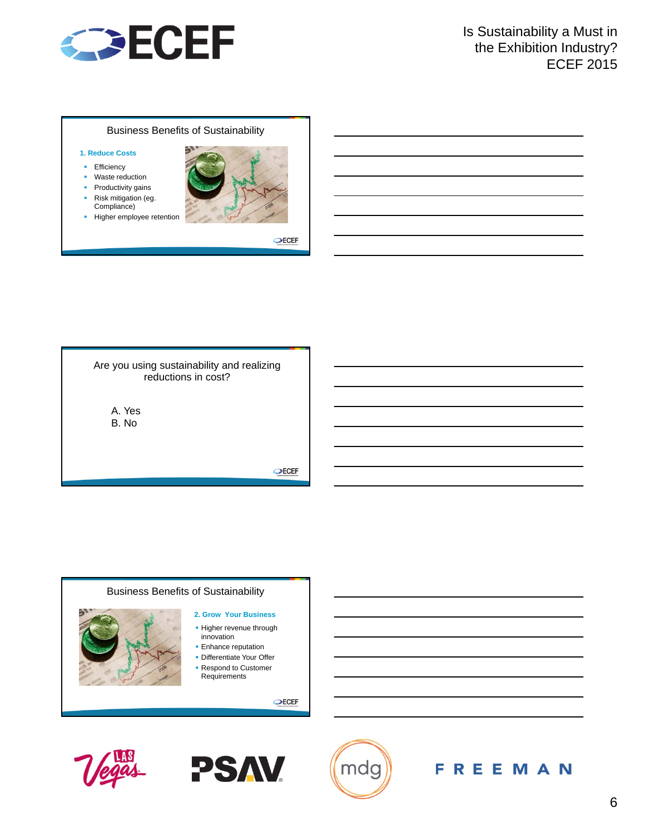

#### Business Benefits of Sustainability

#### **1. Reduce Costs**

- **Efficiency**
- **•** Waste reduction
- Productivity gains
- **Risk mitigation (eg.** Compliance)
- **Higher employee retention**



**OECEF** 



 $\bigcirc$ ECEF

#### Business Benefits of Sustainability

**2. Grow Your Business**

- **Higher revenue through** innovation
- **Enhance reputation**
- **Differentiate Your Offer**
- **Respond to Customer** Requirements

 $\bigcirc$ ECEF





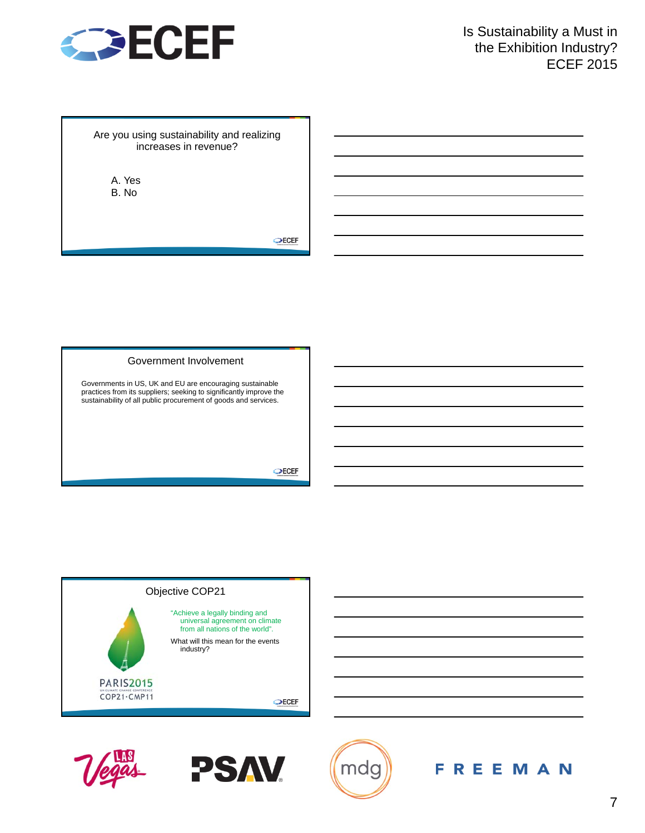

Are you using sustainability and realizing increases in revenue?

A. Yes B. No

OECEF

#### Government Involvement

Governments in US, UK and EU are encouraging sustainable practices from its suppliers; seeking to significantly improve the sustainability of all public procurement of goods and services.

 $\bigcirc$ ECEF







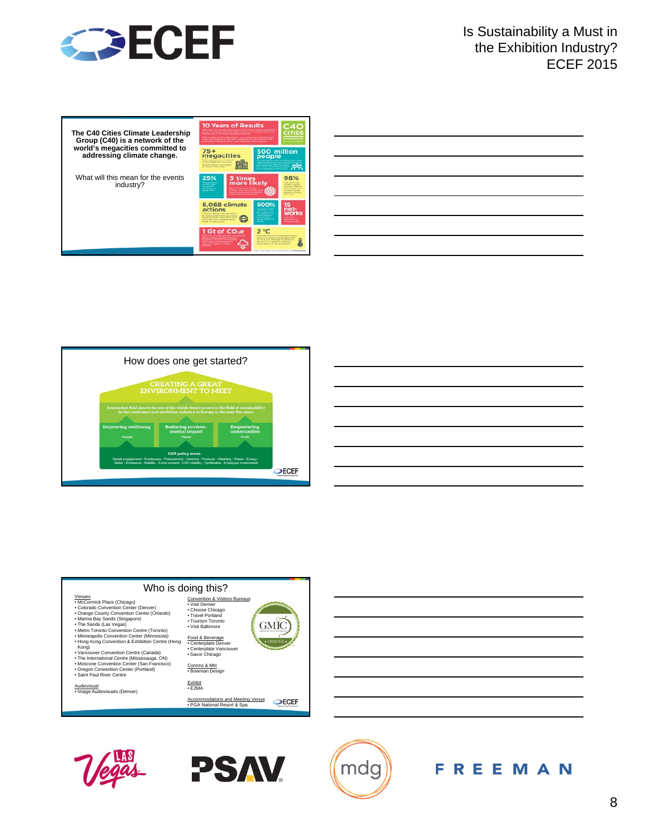

| The C40 Cities Climate Leadership<br>Group (C40) is a network of the | <b>10 Years of Results</b><br>a code of 10 monday throughout the ye<br>ni di stationi processi in generalismo i consideranza presso de primera degli<br>11 settembre – Paris del Paris del Protegno di Arabana administrato della                                                                                  |
|----------------------------------------------------------------------|--------------------------------------------------------------------------------------------------------------------------------------------------------------------------------------------------------------------------------------------------------------------------------------------------------------------|
| world's megacities committed to<br>addressing climate change.        | $75+$<br>500 million<br>megacities<br>people<br>of Physical state, and class<br><b>Constitution Please In constitutions</b><br>- 22<br>to christophe model college.                                                                                                                                                |
| What will this mean for the events<br>industry?                      | 25%<br>3 times<br>98%<br>more likely<br>at) Likies labs<br><b>Nikola Stift of</b><br>an a<br>citizen naussiert (Pod)<br>admission collecting at<br>adoption to a research that<br><b><i><u>September</u></i></b>                                                                                                   |
|                                                                      | 500%<br>8,068 climate<br>15<br>actions<br><b>Next arts functing contemplar as float-</b><br>for marketed optimal brocking, paid arrivalent<br><b><i><u>STORICAL</u></i></b><br>who and company main. As of 1974.<br>of the Processor<br>CAS Lifton Food Valge Park Server<br><b>A civil a convenient of Thomas</b> |
|                                                                      | 1 Gt of CO <sub>2</sub> e<br>$2^{\circ}C$<br>fanet on Camera Change agree that<br>and Private South analysis factory or structure<br>tribe its 2 for un contact his mercuri that<br>worth affects of steroke change<br>Transl move about our automation for a ware articles                                        |

|                                                                                                                       |  | <u>a sa mga banda na mga banda na mga banda na mga banda na mga banda na mga banda na mga banda na mga banda na m</u> |
|-----------------------------------------------------------------------------------------------------------------------|--|-----------------------------------------------------------------------------------------------------------------------|
| <u> Andreas Andreas Andreas Andreas Andreas Andreas Andreas Andreas Andreas Andreas Andreas Andreas Andreas Andr</u>  |  | ________                                                                                                              |
|                                                                                                                       |  |                                                                                                                       |
|                                                                                                                       |  |                                                                                                                       |
| <u> 1989 - Johann Stoff, amerikansk politiker (d. 1989)</u>                                                           |  |                                                                                                                       |
| <u> London a componente de la componente de la componente de la componente de la componente de la componente de l</u> |  |                                                                                                                       |
|                                                                                                                       |  | <u> 1989 - Andrea Andrew Maria (h. 1989).</u>                                                                         |
|                                                                                                                       |  |                                                                                                                       |